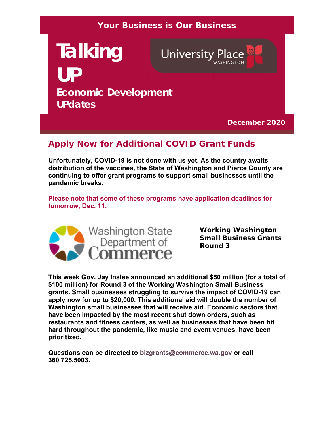### **Your Business is Our Business**

**Talking University Place UP Economic Development UPdates**

**December 2020**

# **Apply Now for Additional COVID Grant Funds**

**Unfortunately, COVID-19 is not done with us yet. As the country awaits distribution of the vaccines, the State of Washington and Pierce County are continuing to offer grant programs to support small businesses until the pandemic breaks.** 

**Please note that some of these programs have application deadlines for tomorrow, Dec. 11.**



**Working Washington Small Business Grants Round 3**

**This week Gov. Jay Inslee announced an additional \$50 million (for a total of \$100 million) for Round 3 of the Working Washington Small Business grants. Small businesses struggling to survive the impact of COVID-19 can apply now for up to \$20,000. This additional aid will double the number of Washington small businesses that will receive aid. Economic sectors that have been impacted by the most recent shut down orders, such as restaurants and fitness centers, as well as businesses that have been hit hard throughout the pandemic, like music and event venues, have been prioritized.**

**Questions can be directed to bizgrants@commerce.wa.gov or call 360.725.5003.**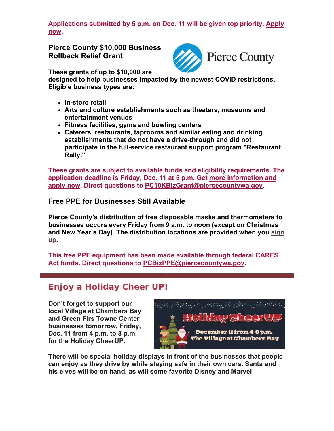**Applications submitted by 5 p.m. on Dec. 11 will be given top priority. Apply now.**

**Pierce County \$10,000 Business Rollback Relief Grant**



**These grants of up to \$10,000 are** 

**designed to help businesses impacted by the newest COVID restrictions. Eligible business types are:** 

- **In-store retail**
- **Arts and culture establishments such as theaters, museums and entertainment venues**
- **Fitness facilities, gyms and bowling centers**
- **Caterers, restaurants, taprooms and similar eating and drinking establishments that do not have a drive-through and did not participate in the full-service restaurant support program "Restaurant Rally."**

**These grants are subject to available funds and eligibility requirements. The application deadline is Friday, Dec. 11 at 5 p.m. Get more information and apply now. Direct questions to PC10KBizGrant@piercecountywa.gov.**

#### **Free PPE for Businesses Still Available**

**Pierce County's distribution of free disposable masks and thermometers to businesses occurs every Friday from 9 a.m. to noon (except on Christmas and New Year's Day). The distribution locations are provided when you sign up.** 

**This free PPE equipment has been made available through federal CARES Act funds. Direct questions to PCBizPPE@piercecountywa.gov**.

### **Enjoy a Holiday Cheer UP!**

**Don't forget to support our local Village at Chambers Bay and Green Firs Towne Center businesses tomorrow, Friday, Dec. 11 from 4 p.m. to 8 p.m. for the Holiday CheerUP.** 



**There will be special holiday displays in front of the businesses that people can enjoy as they drive by while staying safe in their own cars. Santa and his elves will be on hand, as will some favorite Disney and Marvel**